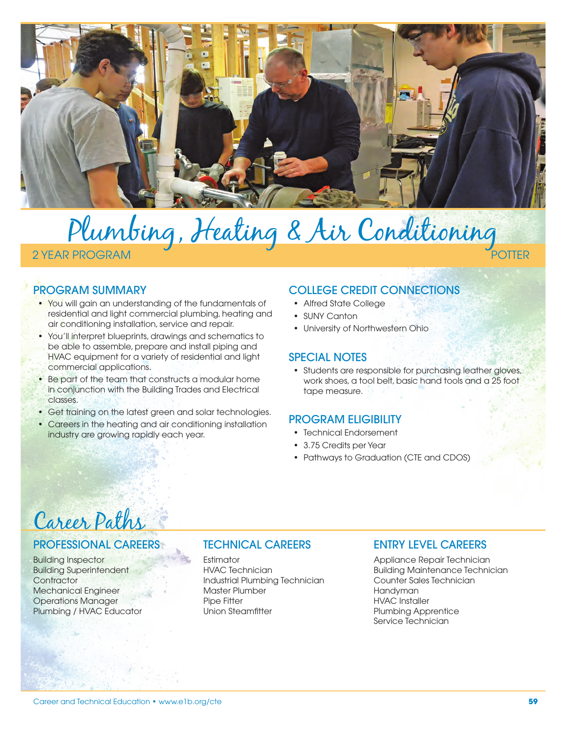

# Plumbing, Heating & Air Conditioning 2 YEAR PROGRAM

# PROGRAM SUMMARY

- You will gain an understanding of the fundamentals of residential and light commercial plumbing, heating and air conditioning installation, service and repair.
- You'll interpret blueprints, drawings and schematics to be able to assemble, prepare and install piping and HVAC equipment for a variety of residential and light commercial applications.
- Be part of the team that constructs a modular home in conjunction with the Building Trades and Electrical classes.
- Get training on the latest green and solar technologies.
- Careers in the heating and air conditioning installation industry are growing rapidly each year.

# COLLEGE CREDIT CONNECTIONS

- Alfred State College
- SUNY Canton
- University of Northwestern Ohio

## SPECIAL NOTES

• Students are responsible for purchasing leather gloves, work shoes, a tool belt, basic hand tools and a 25 foot tape measure.

## PROGRAM ELIGIBILITY

- Technical Endorsement
- 3.75 Credits per Year
- Pathways to Graduation (CTE and CDOS)

# Career Paths

## PROFESSIONAL CAREERS

Building Inspector Building Superintendent **Contractor** Mechanical Engineer Operations Manager Plumbing / HVAC Educator

## TECHNICAL CAREERS

**Fstimator** HVAC Technician Industrial Plumbing Technician Master Plumber Pipe Fitter Union Steamfitter

## ENTRY LEVEL CAREERS

Appliance Repair Technician Building Maintenance Technician Counter Sales Technician Handyman HVAC Installer Plumbing Apprentice Service Technician